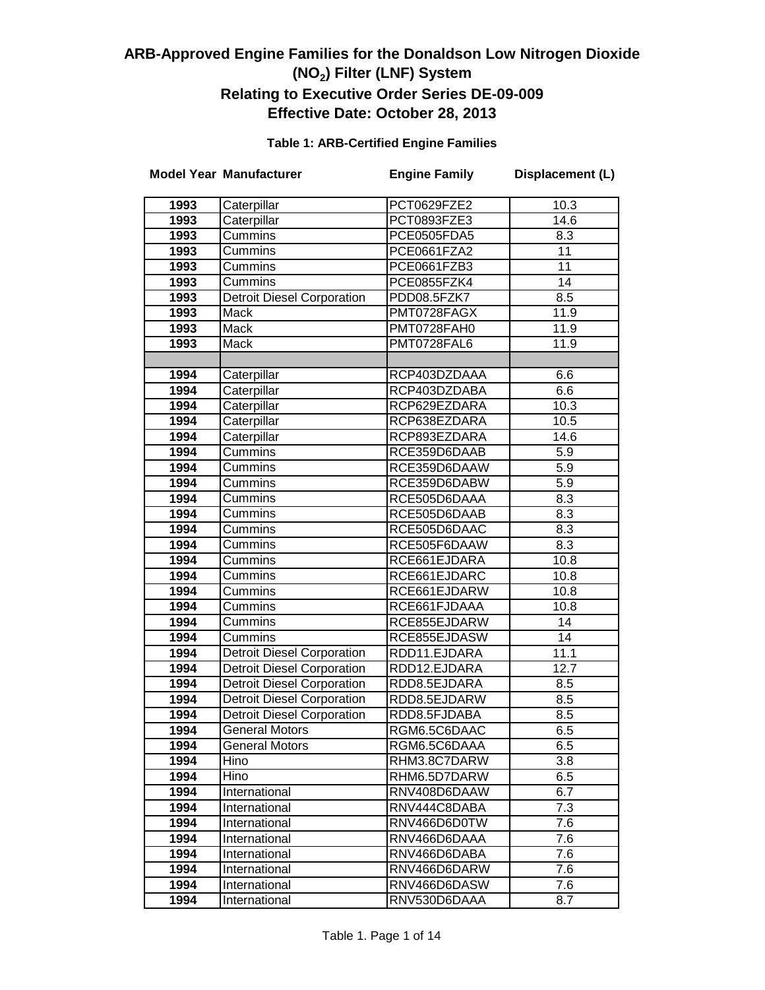### **Table 1: ARB-Certified Engine Families**

|              | <b>Model Year Manufacturer</b>                                         | <b>Engine Family</b>         | Displacement (L) |
|--------------|------------------------------------------------------------------------|------------------------------|------------------|
| 1993         | Caterpillar                                                            | PCT0629FZE2                  | 10.3             |
| 1993         | Caterpillar                                                            | PCT0893FZE3                  | 14.6             |
| 1993         | Cummins                                                                | PCE0505FDA5                  | 8.3              |
| 1993         | Cummins                                                                | PCE0661FZA2                  | 11               |
| 1993         | Cummins                                                                | PCE0661FZB3                  | 11               |
| 1993         | Cummins                                                                | PCE0855FZK4                  | 14               |
| 1993         | Detroit Diesel Corporation                                             | PDD08.5FZK7                  | 8.5              |
| 1993         | Mack                                                                   | PMT0728FAGX                  | 11.9             |
| 1993         | Mack                                                                   | PMT0728FAH0                  | 11.9             |
| 1993         | Mack                                                                   | PMT0728FAL6                  | 11.9             |
|              |                                                                        |                              |                  |
| 1994         | Caterpillar                                                            | RCP403DZDAAA                 | 6.6              |
| 1994         | Caterpillar                                                            | RCP403DZDABA                 | 6.6              |
| 1994         | Caterpillar                                                            | RCP629EZDARA                 | 10.3             |
| 1994         | Caterpillar                                                            | RCP638EZDARA                 | 10.5             |
| 1994         | Caterpillar                                                            | RCP893EZDARA                 | 14.6             |
| 1994         | <b>Cummins</b>                                                         | RCE359D6DAAB                 | 5.9              |
| 1994         | Cummins                                                                | RCE359D6DAAW                 | 5.9              |
| 1994         | Cummins                                                                | RCE359D6DABW                 | $\overline{5.9}$ |
| 1994         | Cummins                                                                | RCE505D6DAAA                 | 8.3              |
| 1994         | Cummins                                                                | RCE505D6DAAB                 | 8.3              |
| 1994         | <b>Cummins</b>                                                         | RCE505D6DAAC                 | 8.3              |
| 1994         | Cummins                                                                | RCE505F6DAAW                 | 8.3              |
| 1994         | Cummins                                                                | RCE661EJDARA                 | 10.8             |
| 1994         | Cummins                                                                | RCE661EJDARC                 | 10.8             |
| 1994         | Cummins                                                                | RCE661EJDARW                 | 10.8             |
| 1994         | Cummins                                                                | RCE661FJDAAA                 | 10.8             |
| 1994         | Cummins                                                                | RCE855EJDARW                 | 14               |
| 1994         | Cummins                                                                | RCE855EJDASW                 | 14               |
| 1994         | <b>Detroit Diesel Corporation</b>                                      | RDD11.EJDARA                 | 11.1             |
| 1994         | <b>Detroit Diesel Corporation</b>                                      | RDD12.EJDARA                 | 12.7             |
| 1994         | Detroit Diesel Corporation                                             | RDD8.5EJDARA                 | 8.5              |
| 1994         | <b>Detroit Diesel Corporation</b><br><b>Detroit Diesel Corporation</b> | RDD8.5EJDARW                 | 8.5              |
| 1994<br>1994 | <b>General Motors</b>                                                  | RDD8.5FJDABA                 | 8.5              |
|              | <b>General Motors</b>                                                  | RGM6.5C6DAAC                 | 6.5<br>6.5       |
| 1994         | Hino                                                                   | RGM6.5C6DAAA<br>RHM3.8C7DARW | 3.8              |
| 1994<br>1994 | Hino                                                                   | RHM6.5D7DARW                 | 6.5              |
| 1994         | International                                                          | RNV408D6DAAW                 | 6.7              |
| 1994         | International                                                          | RNV444C8DABA                 | 7.3              |
| 1994         | International                                                          | RNV466D6D0TW                 | 7.6              |
| 1994         | International                                                          | RNV466D6DAAA                 | 7.6              |
| 1994         | International                                                          | RNV466D6DABA                 | 7.6              |
| 1994         | International                                                          | RNV466D6DARW                 | 7.6              |
| 1994         | International                                                          | RNV466D6DASW                 | 7.6              |
| 1994         | International                                                          | RNV530D6DAAA                 | 8.7              |
|              |                                                                        |                              |                  |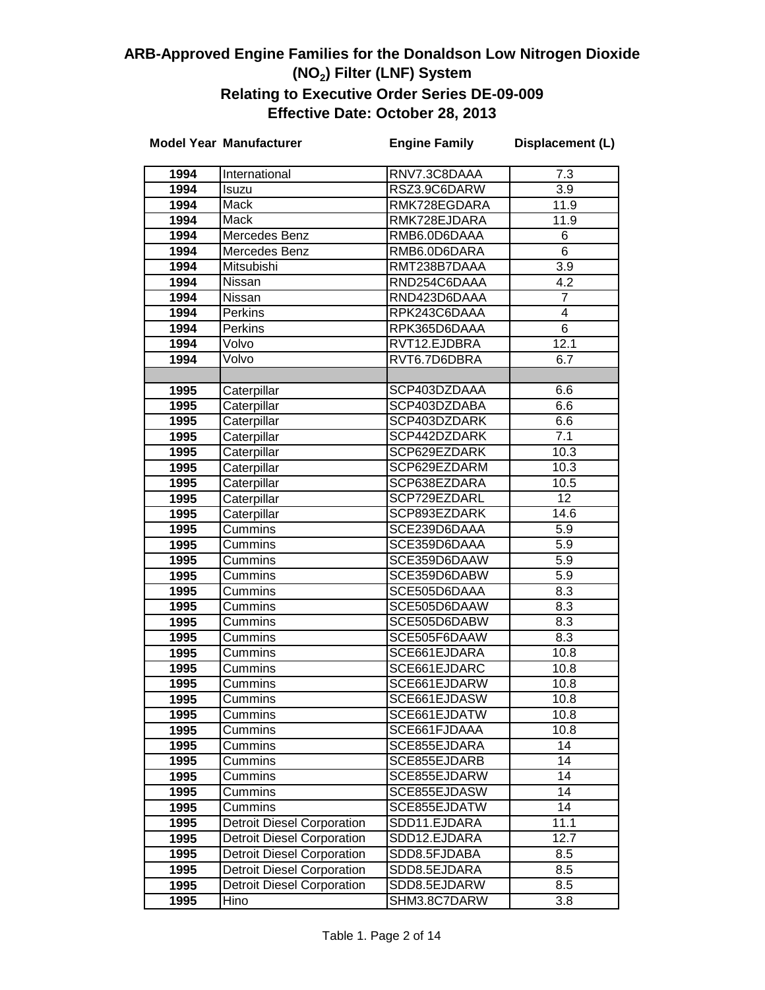|              | <b>Model Year Manufacturer</b>    | <b>Engine Family</b>         | Displacement (L) |
|--------------|-----------------------------------|------------------------------|------------------|
| 1994         | International                     | RNV7.3C8DAAA                 | 7.3              |
| 1994         | Isuzu                             | RSZ3.9C6DARW                 | 3.9              |
| 1994         | Mack                              | RMK728EGDARA                 | 11.9             |
| 1994         | Mack                              | RMK728EJDARA                 | 11.9             |
| 1994         | Mercedes Benz                     | RMB6.0D6DAAA                 | 6                |
| 1994         | Mercedes Benz                     | RMB6.0D6DARA                 | 6                |
| 1994         | Mitsubishi                        | RMT238B7DAAA                 | $\overline{3.9}$ |
| 1994         | Nissan                            | RND254C6DAAA                 | 4.2              |
| 1994         | Nissan                            | RND423D6DAAA                 | 7                |
| 1994         | Perkins                           | RPK243C6DAAA                 | 4                |
| 1994         | Perkins                           | RPK365D6DAAA                 | $\overline{6}$   |
| 1994         | Volvo                             | RVT12.EJDBRA                 | 12.1             |
| 1994         | Volvo                             | RVT6.7D6DBRA                 | 6.7              |
|              |                                   |                              |                  |
| 1995         | Caterpillar                       | SCP403DZDAAA                 | 6.6              |
| 1995         | Caterpillar                       | SCP403DZDABA                 | 6.6              |
| 1995         | Caterpillar                       | SCP403DZDARK                 | 6.6              |
| 1995         | Caterpillar                       | SCP442DZDARK                 | 7.1              |
| 1995         | Caterpillar                       | SCP629EZDARK                 | 10.3             |
| 1995         | Caterpillar                       | SCP629EZDARM                 | 10.3             |
| 1995         | Caterpillar                       | SCP638EZDARA                 | 10.5             |
| 1995         | Caterpillar                       | SCP729EZDARL                 | 12               |
| 1995         | Caterpillar                       | SCP893EZDARK                 | 14.6             |
| 1995         | Cummins                           | SCE239D6DAAA                 | 5.9              |
| 1995         | Cummins                           | SCE359D6DAAA                 | 5.9              |
| 1995         | Cummins                           | SCE359D6DAAW                 | 5.9              |
| 1995         | Cummins                           | SCE359D6DABW                 | 5.9              |
| 1995         | Cummins                           | SCE505D6DAAA                 | 8.3              |
| 1995         | Cummins                           | SCE505D6DAAW                 | 8.3              |
| 1995         | Cummins                           | SCE505D6DABW                 | 8.3              |
| 1995         | Cummins                           | SCE505F6DAAW                 | 8.3              |
| 1995         | Cummins                           | SCE661EJDARA                 | 10.8             |
| 1995         | Cummins                           | SCE661EJDARC<br>SCE661EJDARW | 10.8             |
| 1995<br>1995 | Cummins<br>Cummins                | SCE661EJDASW                 | 10.8<br>10.8     |
| 1995         | Cummins                           | SCE661EJDATW                 | 10.8             |
| 1995         | Cummins                           | SCE661FJDAAA                 | 10.8             |
| 1995         | Cummins                           | SCE855EJDARA                 | 14               |
| 1995         | Cummins                           | SCE855EJDARB                 | 14               |
| 1995         | Cummins                           | SCE855EJDARW                 | 14               |
| 1995         | Cummins                           | SCE855EJDASW                 | 14               |
| 1995         | Cummins                           | SCE855EJDATW                 | 14               |
| 1995         | <b>Detroit Diesel Corporation</b> | SDD11.EJDARA                 | 11.1             |
| 1995         | <b>Detroit Diesel Corporation</b> | SDD12.EJDARA                 | 12.7             |
| 1995         | <b>Detroit Diesel Corporation</b> | SDD8.5FJDABA                 | 8.5              |
| 1995         | <b>Detroit Diesel Corporation</b> | SDD8.5EJDARA                 | 8.5              |
| 1995         | <b>Detroit Diesel Corporation</b> | SDD8.5EJDARW                 | 8.5              |
| 1995         | Hino                              | SHM3.8C7DARW                 | 3.8              |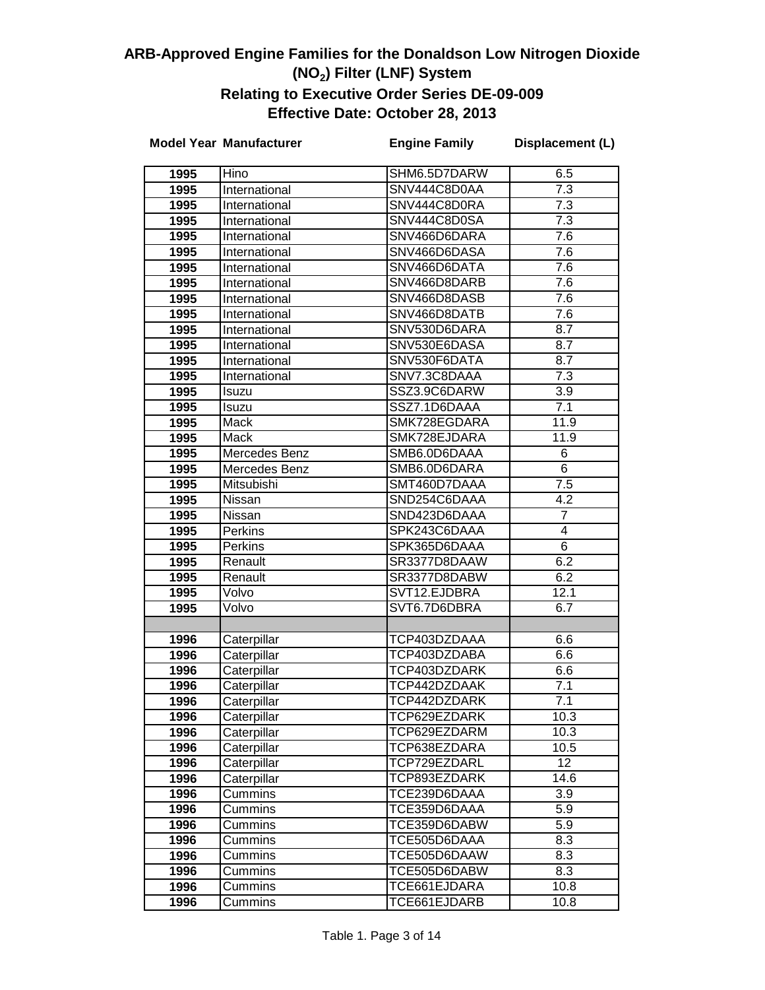|      | <b>Model Year Manufacturer</b> | <b>Engine Family</b> | Displacement (L) |
|------|--------------------------------|----------------------|------------------|
| 1995 | Hino                           | SHM6.5D7DARW         | 6.5              |
| 1995 | International                  | SNV444C8D0AA         | 7.3              |
| 1995 | International                  | SNV444C8D0RA         | 7.3              |
| 1995 | International                  | SNV444C8D0SA         | 7.3              |
| 1995 | International                  | SNV466D6DARA         | 7.6              |
| 1995 | International                  | SNV466D6DASA         | 7.6              |
| 1995 | International                  | SNV466D6DATA         | 7.6              |
| 1995 | International                  | SNV466D8DARB         | 7.6              |
| 1995 | International                  | SNV466D8DASB         | $\overline{7.6}$ |
| 1995 | International                  | SNV466D8DATB         | $\overline{7.6}$ |
| 1995 | International                  | SNV530D6DARA         | 8.7              |
| 1995 | International                  | SNV530E6DASA         | 8.7              |
| 1995 | International                  | SNV530F6DATA         | 8.7              |
| 1995 | International                  | SNV7.3C8DAAA         | 7.3              |
| 1995 | Isuzu                          | SSZ3.9C6DARW         | 3.9              |
| 1995 | Isuzu                          | SSZ7.1D6DAAA         | 7.1              |
| 1995 | Mack                           | SMK728EGDARA         | 11.9             |
| 1995 | Mack                           | SMK728EJDARA         | 11.9             |
| 1995 | Mercedes Benz                  | SMB6.0D6DAAA         | 6                |
| 1995 | Mercedes Benz                  | SMB6.0D6DARA         | 6                |
| 1995 | Mitsubishi                     | SMT460D7DAAA         | 7.5              |
| 1995 | Nissan                         | SND254C6DAAA         | 4.2              |
| 1995 | Nissan                         | SND423D6DAAA         | $\overline{7}$   |
| 1995 | <b>Perkins</b>                 | SPK243C6DAAA         | 4                |
| 1995 | Perkins                        | SPK365D6DAAA         | $\overline{6}$   |
| 1995 | Renault                        | SR3377D8DAAW         | 6.2              |
| 1995 | Renault                        | SR3377D8DABW         | 6.2              |
| 1995 | Volvo                          | SVT12.EJDBRA         | 12.1             |
| 1995 | Volvo                          | SVT6.7D6DBRA         | 6.7              |
|      |                                |                      |                  |
| 1996 | Caterpillar                    | TCP403DZDAAA         | 6.6              |
| 1996 | Caterpillar                    | TCP403DZDABA         | 6.6              |
| 1996 | Caterpillar                    | TCP403DZDARK         | 6.6              |
| 1996 | Caterpillar                    | TCP442DZDAAK         | 7.1              |
| 1996 | Caterpillar                    | TCP442DZDARK         | 7.1              |
| 1996 | Caterpillar                    | TCP629EZDARK         | 10.3             |
| 1996 | Caterpillar                    | TCP629EZDARM         | 10.3             |
| 1996 | Caterpillar                    | TCP638EZDARA         | 10.5             |
| 1996 | Caterpillar                    | TCP729EZDARL         | 12 <sub>2</sub>  |
| 1996 | Caterpillar                    | TCP893EZDARK         | 14.6             |
| 1996 | Cummins                        | TCE239D6DAAA         | 3.9              |
| 1996 | Cummins                        | TCE359D6DAAA         | 5.9              |
| 1996 | Cummins                        | TCE359D6DABW         | 5.9              |
| 1996 | Cummins                        | TCE505D6DAAA         | 8.3              |
| 1996 | Cummins                        | TCE505D6DAAW         | 8.3              |
| 1996 | Cummins                        | TCE505D6DABW         | 8.3              |
| 1996 | Cummins                        | TCE661EJDARA         | 10.8             |
| 1996 | Cummins                        | TCE661EJDARB         | 10.8             |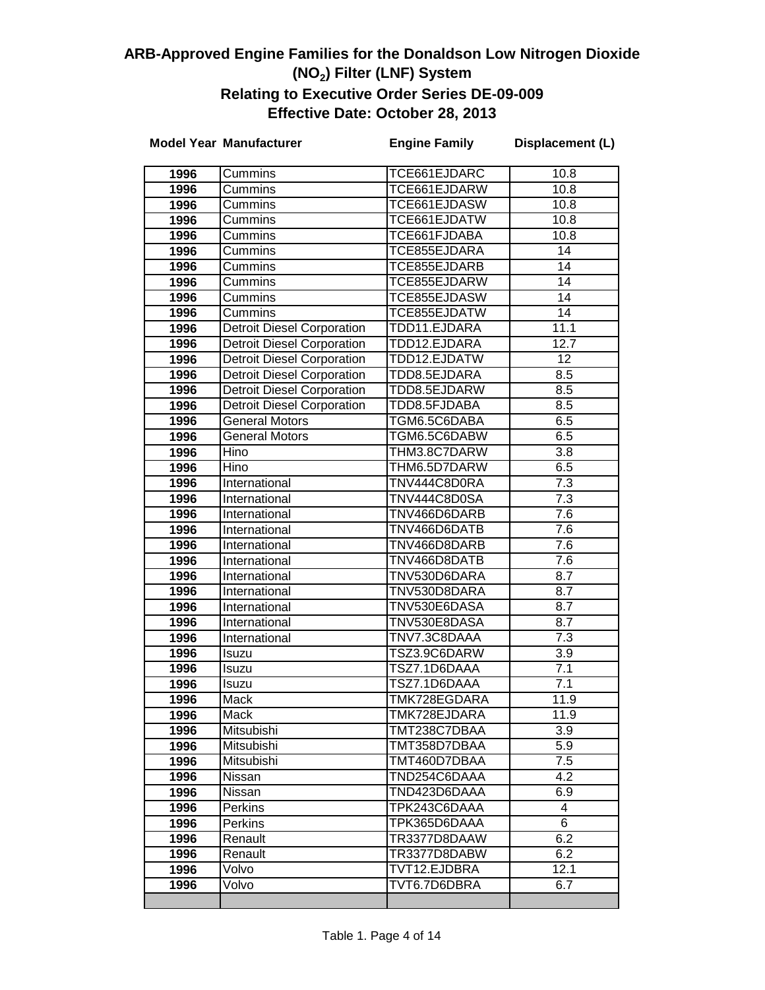|              | <b>Model Year Manufacturer</b>    | <b>Engine Family</b>         | Displacement (L)  |
|--------------|-----------------------------------|------------------------------|-------------------|
| 1996         | Cummins                           | TCE661EJDARC                 | 10.8              |
| 1996         | Cummins                           | TCE661EJDARW                 | 10.8              |
| 1996         | Cummins                           | TCE661EJDASW                 | 10.8              |
| 1996         | Cummins                           | TCE661EJDATW                 | 10.8              |
| 1996         | Cummins                           | TCE661FJDABA                 | 10.8              |
| 1996         | Cummins                           | TCE855EJDARA                 | 14                |
| 1996         | Cummins                           | TCE855EJDARB                 | 14                |
| 1996         | Cummins                           | TCE855EJDARW                 | 14                |
| 1996         | Cummins                           | TCE855EJDASW                 | 14                |
| 1996         | Cummins                           | TCE855EJDATW                 | 14                |
| 1996         | <b>Detroit Diesel Corporation</b> | TDD11.EJDARA                 | 11.1              |
| 1996         | <b>Detroit Diesel Corporation</b> | TDD12.EJDARA                 | 12.7              |
| 1996         | <b>Detroit Diesel Corporation</b> | TDD12.EJDATW                 | 12                |
| 1996         | <b>Detroit Diesel Corporation</b> | TDD8.5EJDARA                 | 8.5               |
| 1996         | <b>Detroit Diesel Corporation</b> | TDD8.5EJDARW                 | 8.5               |
| 1996         | <b>Detroit Diesel Corporation</b> | TDD8.5FJDABA                 | 8.5               |
| 1996         | <b>General Motors</b>             | TGM6.5C6DABA                 | 6.5               |
| 1996         | <b>General Motors</b>             | TGM6.5C6DABW                 | 6.5               |
| 1996         | Hino                              | THM3.8C7DARW                 | $\overline{3.8}$  |
| 1996         | Hino                              | THM6.5D7DARW                 | 6.5               |
| 1996         | International                     | TNV444C8D0RA                 | $\overline{7.3}$  |
| 1996         | International                     | TNV444C8D0SA                 | 7.3               |
| 1996         | International                     | TNV466D6DARB                 | $\overline{7.6}$  |
| 1996         | International                     | TNV466D6DATB                 | 7.6               |
| 1996         | International                     | TNV466D8DARB                 | 7.6               |
| 1996         | International                     | TNV466D8DATB                 | 7.6               |
| 1996         | International                     | TNV530D6DARA                 | 8.7               |
| 1996         | International                     | TNV530D8DARA                 | 8.7               |
| 1996         | International                     | TNV530E6DASA                 | $\overline{8.7}$  |
| 1996         | International                     | TNV530E8DASA                 | $\overline{8.7}$  |
| 1996         | International                     | TNV7.3C8DAAA                 | $\overline{7}$ .3 |
| 1996         | Isuzu                             | TSZ3.9C6DARW                 | $\overline{3.9}$  |
| 1996         | Isuzu                             | TSZ7.1D6DAAA                 | 7.1               |
| 1996         | Isuzu                             | TSZ7.1D6DAAA                 | $\overline{7.1}$  |
| 1996         | Mack                              | TMK728EGDARA                 | 11.9              |
| 1996         | Mack                              | TMK728EJDARA                 | 11.9              |
| 1996         | Mitsubishi                        | TMT238C7DBAA                 | 3.9               |
| 1996         | Mitsubishi                        | TMT358D7DBAA                 | 5.9               |
| 1996         | Mitsubishi                        | TMT460D7DBAA<br>TND254C6DAAA | 7.5<br>4.2        |
| 1996         | Nissan<br>Nissan                  | TND423D6DAAA                 | 6.9               |
| 1996<br>1996 | Perkins                           | TPK243C6DAAA                 | 4                 |
| 1996         | <b>Perkins</b>                    | TPK365D6DAAA                 | 6                 |
| 1996         | Renault                           | TR3377D8DAAW                 | 6.2               |
| 1996         | Renault                           | TR3377D8DABW                 | 6.2               |
| 1996         | Volvo                             | TVT12.EJDBRA                 | 12.1              |
| 1996         | Volvo                             | TVT6.7D6DBRA                 | 6.7               |
|              |                                   |                              |                   |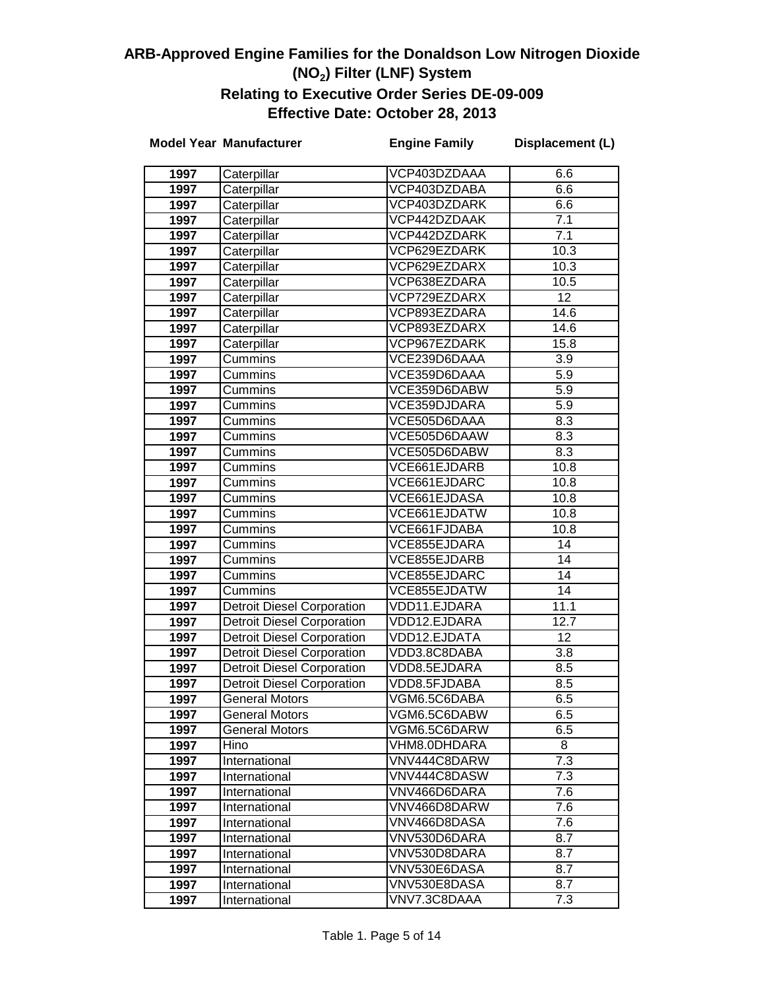|              | <b>Model Year Manufacturer</b>    | <b>Engine Family</b>         | Displacement (L) |
|--------------|-----------------------------------|------------------------------|------------------|
| 1997         | Caterpillar                       | VCP403DZDAAA                 | 6.6              |
| 1997         | Caterpillar                       | VCP403DZDABA                 | 6.6              |
| 1997         | Caterpillar                       | VCP403DZDARK                 | 6.6              |
| 1997         | Caterpillar                       | VCP442DZDAAK                 | 7.1              |
| 1997         | Caterpillar                       | VCP442DZDARK                 | $\overline{7.1}$ |
| 1997         | Caterpillar                       | VCP629EZDARK                 | 10.3             |
| 1997         | Caterpillar                       | VCP629EZDARX                 | 10.3             |
| 1997         | Caterpillar                       | VCP638EZDARA                 | 10.5             |
| 1997         | Caterpillar                       | VCP729EZDARX                 | 12               |
| 1997         | Caterpillar                       | VCP893EZDARA                 | 14.6             |
| 1997         | Caterpillar                       | VCP893EZDARX                 | 14.6             |
| 1997         | Caterpillar                       | VCP967EZDARK                 | 15.8             |
| 1997         | Cummins                           | VCE239D6DAAA                 | $\overline{3.9}$ |
| 1997         | Cummins                           | VCE359D6DAAA                 | $\overline{5.9}$ |
| 1997         | Cummins                           | VCE359D6DABW                 | $\overline{5.9}$ |
| 1997         | Cummins                           | VCE359DJDARA                 | 5.9              |
| 1997         | Cummins                           | VCE505D6DAAA                 | 8.3              |
| 1997         | Cummins                           | VCE505D6DAAW                 | 8.3              |
| 1997         | Cummins                           | VCE505D6DABW                 | 8.3              |
| 1997         | Cummins                           | VCE661EJDARB                 | 10.8             |
| 1997         | Cummins                           | VCE661EJDARC                 | 10.8             |
| 1997         | Cummins                           | VCE661EJDASA                 | 10.8             |
| 1997         | Cummins                           | VCE661EJDATW                 | 10.8             |
| 1997         | Cummins                           | VCE661FJDABA                 | 10.8             |
| 1997         | Cummins                           | VCE855EJDARA                 | 14               |
| 1997         | Cummins                           | VCE855EJDARB                 | 14               |
| 1997         | Cummins                           | VCE855EJDARC                 | 14               |
| 1997         | Cummins                           | VCE855EJDATW                 | 14               |
| 1997         | <b>Detroit Diesel Corporation</b> | VDD11.EJDARA                 | 11.1             |
| 1997         | <b>Detroit Diesel Corporation</b> | VDD12.EJDARA                 | 12.7             |
| 1997         | <b>Detroit Diesel Corporation</b> | VDD12.EJDATA                 | 12               |
| 1997         | <b>Detroit Diesel Corporation</b> | VDD3.8C8DABA                 | $\overline{3.8}$ |
| 1997         | <b>Detroit Diesel Corporation</b> | VDD8.5EJDARA                 | 8.5              |
| 1997         | <b>Detroit Diesel Corporation</b> | VDD8.5FJDABA                 | 8.5              |
| 1997         | <b>General Motors</b>             | VGM6.5C6DABA                 | 6.5              |
| 1997         | General Motors                    | VGM6.5C6DABW                 | 6.5              |
| 1997         | <b>General Motors</b>             | VGM6.5C6DARW                 | 6.5              |
| 1997         | Hino                              | VHM8.0DHDARA                 | 8                |
| 1997         | International                     | VNV444C8DARW                 | 7.3              |
| 1997         | International                     | VNV444C8DASW                 | 7.3              |
| 1997         | International                     | VNV466D6DARA                 | 7.6              |
| 1997         | International                     | VNV466D8DARW<br>VNV466D8DASA | 7.6<br>7.6       |
| 1997         | International                     | VNV530D6DARA                 | 8.7              |
| 1997<br>1997 | International<br>International    | VNV530D8DARA                 | 8.7              |
| 1997         | International                     | VNV530E6DASA                 | 8.7              |
| 1997         | International                     | VNV530E8DASA                 | 8.7              |
| 1997         | International                     | VNV7.3C8DAAA                 | $\overline{7.3}$ |
|              |                                   |                              |                  |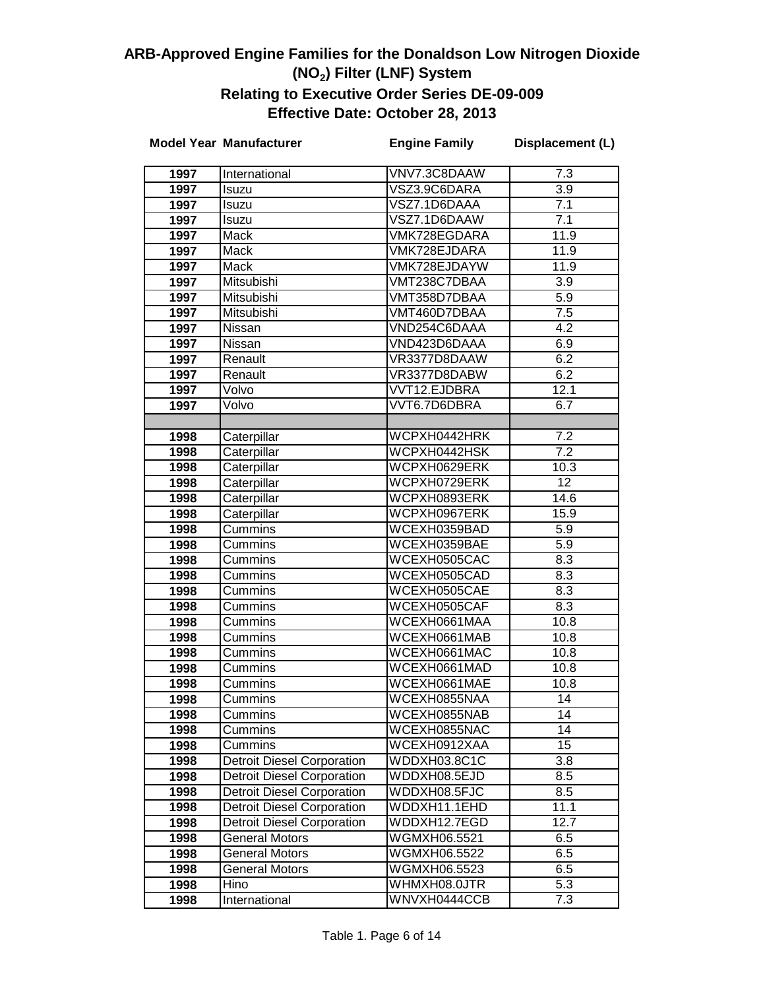|      | <b>Model Year Manufacturer</b>    | <b>Engine Family</b> | Displacement (L) |
|------|-----------------------------------|----------------------|------------------|
| 1997 | International                     | VNV7.3C8DAAW         | 7.3              |
| 1997 | Isuzu                             | VSZ3.9C6DARA         | 3.9              |
| 1997 | Isuzu                             | VSZ7.1D6DAAA         | 7.1              |
| 1997 | Isuzu                             | VSZ7.1D6DAAW         | 7.1              |
| 1997 | Mack                              | VMK728EGDARA         | 11.9             |
| 1997 | Mack                              | VMK728EJDARA         | 11.9             |
| 1997 | <b>Mack</b>                       | VMK728EJDAYW         | 11.9             |
| 1997 | Mitsubishi                        | VMT238C7DBAA         | $\overline{3.9}$ |
| 1997 | Mitsubishi                        | VMT358D7DBAA         | 5.9              |
| 1997 | Mitsubishi                        | VMT460D7DBAA         | 7.5              |
| 1997 | Nissan                            | VND254C6DAAA         | 4.2              |
| 1997 | Nissan                            | VND423D6DAAA         | 6.9              |
| 1997 | Renault                           | VR3377D8DAAW         | 6.2              |
| 1997 | Renault                           | VR3377D8DABW         | 6.2              |
| 1997 | Volvo                             | VVT12.EJDBRA         | 12.1             |
| 1997 | Volvo                             | VVT6.7D6DBRA         | 6.7              |
|      |                                   |                      |                  |
| 1998 | Caterpillar                       | WCPXH0442HRK         | 7.2              |
| 1998 | Caterpillar                       | WCPXH0442HSK         | 7.2              |
| 1998 | Caterpillar                       | WCPXH0629ERK         | 10.3             |
| 1998 | Caterpillar                       | WCPXH0729ERK         | 12               |
| 1998 | Caterpillar                       | WCPXH0893ERK         | 14.6             |
| 1998 | Caterpillar                       | WCPXH0967ERK         | 15.9             |
| 1998 | Cummins                           | WCEXH0359BAD         | 5.9              |
| 1998 | Cummins                           | WCEXH0359BAE         | 5.9              |
| 1998 | Cummins                           | WCEXH0505CAC         | 8.3              |
| 1998 | Cummins                           | WCEXH0505CAD         | 8.3              |
| 1998 | Cummins                           | WCEXH0505CAE         | 8.3              |
| 1998 | Cummins                           | WCEXH0505CAF         | $8.\overline{3}$ |
| 1998 | Cummins                           | WCEXH0661MAA         | 10.8             |
| 1998 | Cummins                           | WCEXH0661MAB         | 10.8             |
| 1998 | Cummins                           | WCEXH0661MAC         | 10.8             |
| 1998 | Cummins                           | WCEXH0661MAD         | 10.8             |
| 1998 | Cummins                           | WCEXH0661MAE         | 10.8             |
| 1998 | Cummins                           | WCEXH0855NAA         | $\overline{14}$  |
| 1998 | Cummins                           | WCEXH0855NAB         | 14               |
| 1998 | Cummins                           | WCEXH0855NAC         | 14               |
| 1998 | Cummins                           | WCEXH0912XAA         | 15               |
| 1998 | <b>Detroit Diesel Corporation</b> | WDDXH03.8C1C         | 3.8              |
| 1998 | <b>Detroit Diesel Corporation</b> | WDDXH08.5EJD         | 8.5              |
| 1998 | <b>Detroit Diesel Corporation</b> | WDDXH08.5FJC         | 8.5              |
| 1998 | <b>Detroit Diesel Corporation</b> | WDDXH11.1EHD         | 11.1             |
| 1998 | <b>Detroit Diesel Corporation</b> | WDDXH12.7EGD         | 12.7             |
| 1998 | <b>General Motors</b>             | WGMXH06.5521         | 6.5              |
| 1998 | <b>General Motors</b>             | WGMXH06.5522         | 6.5              |
| 1998 | <b>General Motors</b>             | WGMXH06.5523         | 6.5              |
| 1998 | Hino                              | WHMXH08.0JTR         | 5.3              |
| 1998 | International                     | WNVXH0444CCB         | 7.3              |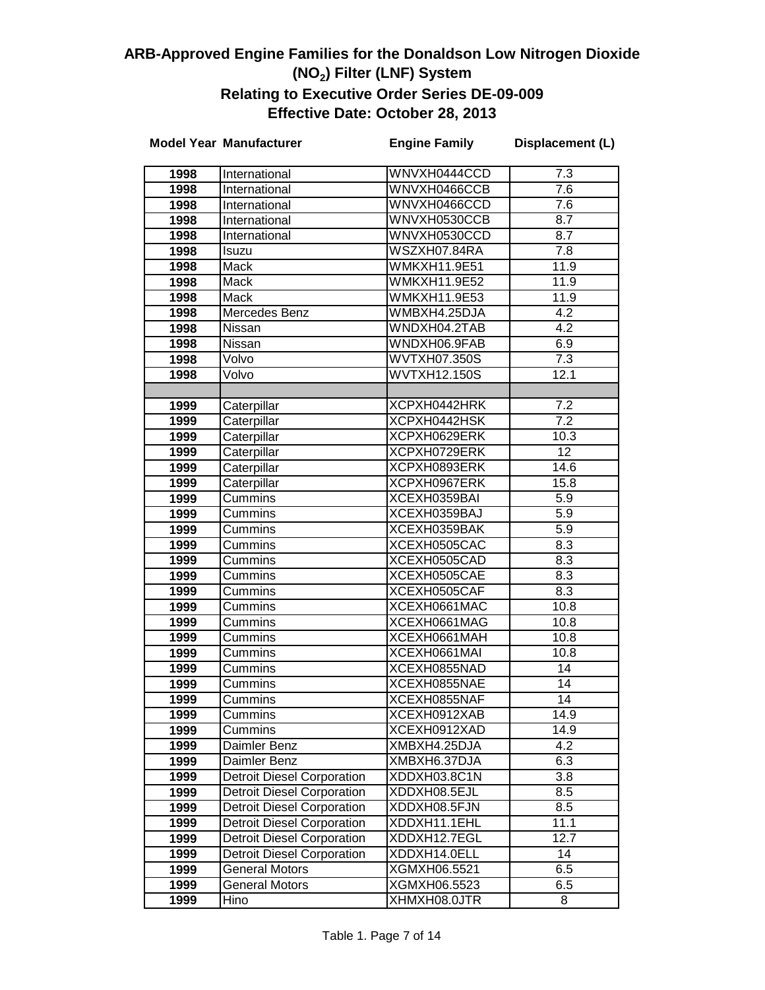|              | <b>Model Year Manufacturer</b>    | <b>Engine Family</b>         | Displacement (L) |
|--------------|-----------------------------------|------------------------------|------------------|
| 1998         | International                     | WNVXH0444CCD                 | 7.3              |
| 1998         | International                     | WNVXH0466CCB                 | 7.6              |
| 1998         | International                     | WNVXH0466CCD                 | 7.6              |
| 1998         | International                     | WNVXH0530CCB                 | 8.7              |
| 1998         | International                     | WNVXH0530CCD                 | 8.7              |
| 1998         | <b>Isuzu</b>                      | WSZXH07.84RA                 | 7.8              |
| 1998         | Mack                              | <b>WMKXH11.9E51</b>          | 11.9             |
| 1998         | <b>Mack</b>                       | WMKXH11.9E52                 | 11.9             |
| 1998         | Mack                              | <b>WMKXH11.9E53</b>          | 11.9             |
| 1998         | Mercedes Benz                     | WMBXH4.25DJA                 | 4.2              |
| 1998         | Nissan                            | WNDXH04.2TAB                 | 4.2              |
| 1998         | Nissan                            | WNDXH06.9FAB                 | 6.9              |
| 1998         | Volvo                             | <b>WVTXH07.350S</b>          | $\overline{7.3}$ |
| 1998         | Volvo                             | <b>WVTXH12.150S</b>          | 12.1             |
|              |                                   |                              |                  |
| 1999         | Caterpillar                       | XCPXH0442HRK                 | 7.2              |
| 1999         | Caterpillar                       | XCPXH0442HSK                 | $\overline{7.2}$ |
| 1999         | Caterpillar                       | XCPXH0629ERK                 | 10.3             |
| 1999         | Caterpillar                       | XCPXH0729ERK                 | 12               |
| 1999         | Caterpillar                       | XCPXH0893ERK                 | 14.6             |
| 1999         | Caterpillar                       | XCPXH0967ERK                 | 15.8             |
| 1999         | Cummins                           | XCEXH0359BAI                 | 5.9              |
| 1999         | Cummins                           | XCEXH0359BAJ                 | $\overline{5.9}$ |
| 1999         | Cummins                           | XCEXH0359BAK                 | 5.9              |
| 1999         | Cummins                           | XCEXH0505CAC                 | 8.3              |
| 1999         | Cummins                           | XCEXH0505CAD                 | 8.3              |
| 1999         | Cummins                           | XCEXH0505CAE                 | 8.3              |
| 1999         | Cummins                           | XCEXH0505CAF                 | $8.\overline{3}$ |
| 1999         | Cummins                           | XCEXH0661MAC<br>XCEXH0661MAG | 10.8             |
| 1999         | Cummins                           |                              | 10.8             |
| 1999<br>1999 | Cummins                           | XCEXH0661MAH<br>XCEXH0661MAI | 10.8<br>10.8     |
| 1999         | Cummins<br>Cummins                | XCEXH0855NAD                 | 14               |
| 1999         | Cummins                           | XCEXH0855NAE                 | 14               |
| 1999         | Cummins                           | XCEXH0855NAF                 | 14               |
| 1999         | Cummins                           | XCEXH0912XAB                 | 14.9             |
| 1999         | Cummins                           | XCEXH0912XAD                 | 14.9             |
| 1999         | Daimler Benz                      | XMBXH4.25DJA                 | 4.2              |
| 1999         | Daimler Benz                      | XMBXH6.37DJA                 | 6.3              |
| 1999         | <b>Detroit Diesel Corporation</b> | XDDXH03.8C1N                 | 3.8              |
| 1999         | <b>Detroit Diesel Corporation</b> | XDDXH08.5EJL                 | 8.5              |
| 1999         | <b>Detroit Diesel Corporation</b> | XDDXH08.5FJN                 | 8.5              |
| 1999         | <b>Detroit Diesel Corporation</b> | XDDXH11.1EHL                 | 11.1             |
| 1999         | <b>Detroit Diesel Corporation</b> | XDDXH12.7EGL                 | 12.7             |
| 1999         | <b>Detroit Diesel Corporation</b> | XDDXH14.0ELL                 | 14               |
| 1999         | <b>General Motors</b>             | XGMXH06.5521                 | 6.5              |
| 1999         | <b>General Motors</b>             | XGMXH06.5523                 | 6.5              |
| 1999         | Hino                              | XHMXH08.0JTR                 | 8                |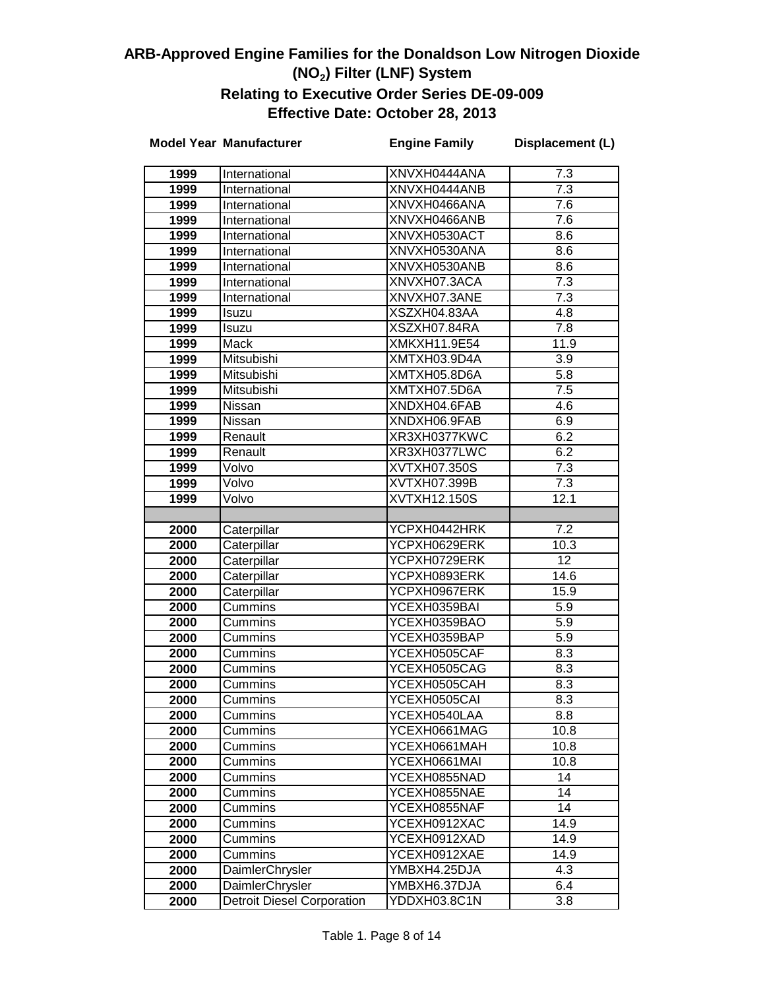|              | <b>Model Year Manufacturer</b>            | <b>Engine Family</b>         | Displacement (L) |
|--------------|-------------------------------------------|------------------------------|------------------|
| 1999         | International                             | XNVXH0444ANA                 | 7.3              |
| 1999         | International                             | XNVXH0444ANB                 | 7.3              |
| 1999         | International                             | XNVXH0466ANA                 | 7.6              |
| 1999         | International                             | XNVXH0466ANB                 | 7.6              |
| 1999         | International                             | XNVXH0530ACT                 | 8.6              |
| 1999         | International                             | XNVXH0530ANA                 | 8.6              |
| 1999         | International                             | XNVXH0530ANB                 | 8.6              |
| 1999         | International                             | XNVXH07.3ACA                 | 7.3              |
| 1999         | International                             | XNVXH07.3ANE                 | 7.3              |
| 1999         | Isuzu                                     | XSZXH04.83AA                 | 4.8              |
| 1999         | Isuzu                                     | XSZXH07.84RA                 | 7.8              |
| 1999         | Mack                                      | <b>XMKXH11.9E54</b>          | 11.9             |
| 1999         | Mitsubishi                                | XMTXH03.9D4A                 | 3.9              |
| 1999         | Mitsubishi                                | XMTXH05.8D6A                 | $\overline{5.8}$ |
| 1999         | Mitsubishi                                | XMTXH07.5D6A                 | $\overline{7.5}$ |
| 1999         | Nissan                                    | XNDXH04.6FAB                 | 4.6              |
| 1999         | Nissan                                    | XNDXH06.9FAB                 | 6.9              |
| 1999         | Renault                                   | XR3XH0377KWC                 | 6.2              |
| 1999         | Renault                                   | XR3XH0377LWC                 | 6.2              |
| 1999         | Volvo                                     | <b>XVTXH07.350S</b>          | 7.3              |
| 1999         | Volvo                                     | XVTXH07.399B                 | 7.3              |
| 1999         | Volvo                                     | XVTXH12.150S                 | 12.1             |
|              |                                           |                              |                  |
| 2000         | Caterpillar                               | YCPXH0442HRK                 | $\overline{7.2}$ |
| 2000         | Caterpillar                               | YCPXH0629ERK                 | 10.3             |
| 2000         | Caterpillar                               | YCPXH0729ERK                 | $\overline{12}$  |
| 2000         | Caterpillar                               | YCPXH0893ERK                 | 14.6             |
| 2000         | Caterpillar                               | YCPXH0967ERK                 | 15.9             |
| 2000         | Cummins                                   | YCEXH0359BAI                 | 5.9              |
| 2000         | Cummins                                   | YCEXH0359BAO                 | 5.9              |
| 2000         | Cummins                                   | YCEXH0359BAP                 | 5.9              |
| 2000         | Cummins                                   | YCEXH0505CAF                 | 8.3              |
| 2000         | Cummins                                   | YCEXH0505CAG                 | 8.3              |
| 2000         | Cummins                                   | YCEXH0505CAH                 | 8.3              |
| 2000         | Cummins                                   | YCEXH0505CAI                 | 8.3              |
| 2000         | Cummins                                   | YCEXH0540LAA                 | 8.8              |
| 2000         | Cummins                                   | YCEXH0661MAG                 | 10.8             |
| 2000         | Cummins                                   | YCEXH0661MAH                 | 10.8             |
| 2000         | Cummins                                   | YCEXH0661MAI                 | 10.8             |
| 2000         | Cummins                                   | YCEXH0855NAD                 | 14               |
| 2000         | Cummins                                   | YCEXH0855NAE                 | 14               |
| 2000         | Cummins                                   | YCEXH0855NAF                 | 14               |
| 2000         | Cummins                                   | YCEXH0912XAC                 | 14.9             |
| 2000         | Cummins                                   | YCEXH0912XAD<br>YCEXH0912XAE | 14.9             |
| 2000         | Cummins                                   |                              | 14.9<br>4.3      |
| 2000<br>2000 | <b>DaimlerChrysler</b><br>DaimlerChrysler | YMBXH4.25DJA<br>YMBXH6.37DJA | 6.4              |
| 2000         | <b>Detroit Diesel Corporation</b>         | <b>YDDXH03.8C1N</b>          | $\overline{3.8}$ |
|              |                                           |                              |                  |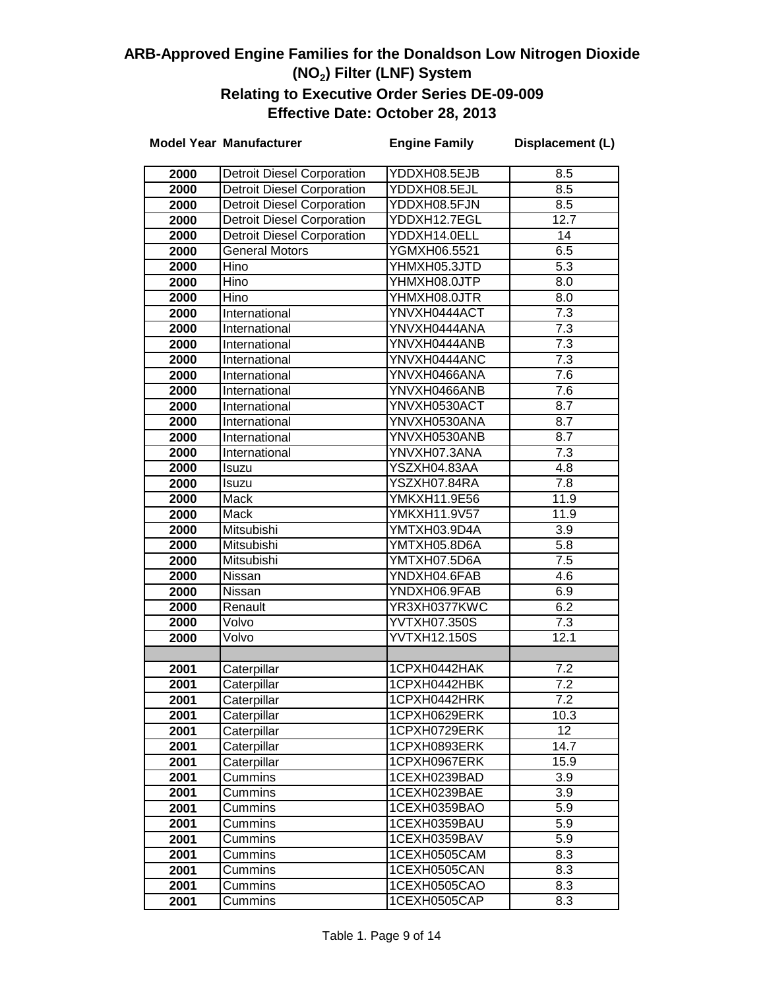|      | <b>Model Year Manufacturer</b>    | <b>Engine Family</b> | Displacement (L) |
|------|-----------------------------------|----------------------|------------------|
| 2000 | <b>Detroit Diesel Corporation</b> | YDDXH08.5EJB         | 8.5              |
| 2000 | <b>Detroit Diesel Corporation</b> | YDDXH08.5EJL         | 8.5              |
| 2000 | <b>Detroit Diesel Corporation</b> | YDDXH08.5FJN         | $\overline{8.5}$ |
| 2000 | <b>Detroit Diesel Corporation</b> | YDDXH12.7EGL         | 12.7             |
| 2000 | <b>Detroit Diesel Corporation</b> | YDDXH14.0ELL         | 14               |
| 2000 | <b>General Motors</b>             | YGMXH06.5521         | 6.5              |
| 2000 | Hino                              | YHMXH05.3JTD         | $\overline{5.3}$ |
| 2000 | Hino                              | YHMXH08.0JTP         | $\overline{8.0}$ |
| 2000 | Hino                              | YHMXH08.0JTR         | $\overline{8.0}$ |
| 2000 | International                     | YNVXH0444ACT         | $\overline{7.3}$ |
| 2000 | International                     | YNVXH0444ANA         | $\overline{7.3}$ |
| 2000 | International                     | YNVXH0444ANB         | $\overline{7.3}$ |
| 2000 | International                     | YNVXH0444ANC         | $\overline{7.3}$ |
| 2000 | International                     | YNVXH0466ANA         | 7.6              |
| 2000 | International                     | YNVXH0466ANB         | 7.6              |
| 2000 | International                     | YNVXH0530ACT         | 8.7              |
| 2000 | International                     | YNVXH0530ANA         | 8.7              |
| 2000 | International                     | YNVXH0530ANB         | 8.7              |
| 2000 | International                     | YNVXH07.3ANA         | $\overline{7.3}$ |
| 2000 | Isuzu                             | YSZXH04.83AA         | 4.8              |
| 2000 | Isuzu                             | YSZXH07.84RA         | 7.8              |
| 2000 | <b>Mack</b>                       | YMKXH11.9E56         | 11.9             |
| 2000 | <b>Mack</b>                       | YMKXH11.9V57         | 11.9             |
| 2000 | Mitsubishi                        | YMTXH03.9D4A         | $\overline{3.9}$ |
| 2000 | Mitsubishi                        | YMTXH05.8D6A         | 5.8              |
| 2000 | Mitsubishi                        | YMTXH07.5D6A         | 7.5              |
| 2000 | Nissan                            | YNDXH04.6FAB         | 4.6              |
| 2000 | Nissan                            | YNDXH06.9FAB         | 6.9              |
| 2000 | Renault                           | YR3XH0377KWC         | 6.2              |
| 2000 | Volvo                             | YVTXH07.350S         | 7.3              |
| 2000 | Volvo                             | <b>YVTXH12.150S</b>  | 12.1             |
|      |                                   |                      |                  |
| 2001 | Caterpillar                       | 1CPXH0442HAK         | 7.2              |
| 2001 | Caterpillar                       | 1CPXH0442HBK         | $\overline{7.2}$ |
| 2001 | Caterpillar                       | 1CPXH0442HRK         | 7.2              |
| 2001 | Caterpillar                       | 1CPXH0629ERK         | 10.3             |
| 2001 | Caterpillar                       | 1CPXH0729ERK         | 12 <sup>2</sup>  |
| 2001 | Caterpillar                       | 1CPXH0893ERK         | 14.7             |
| 2001 | Caterpillar                       | 1CPXH0967ERK         | 15.9             |
| 2001 | Cummins                           | 1CEXH0239BAD         | 3.9              |
| 2001 | Cummins                           | 1CEXH0239BAE         | 3.9              |
| 2001 | Cummins                           | 1CEXH0359BAO         | 5.9              |
| 2001 | Cummins                           | 1CEXH0359BAU         | 5.9              |
| 2001 | Cummins                           | 1CEXH0359BAV         | 5.9              |
| 2001 | Cummins                           | 1CEXH0505CAM         | 8.3              |
| 2001 | Cummins                           | 1CEXH0505CAN         | 8.3              |
| 2001 | Cummins                           | 1CEXH0505CAO         | 8.3              |
| 2001 | Cummins                           | 1CEXH0505CAP         | 8.3              |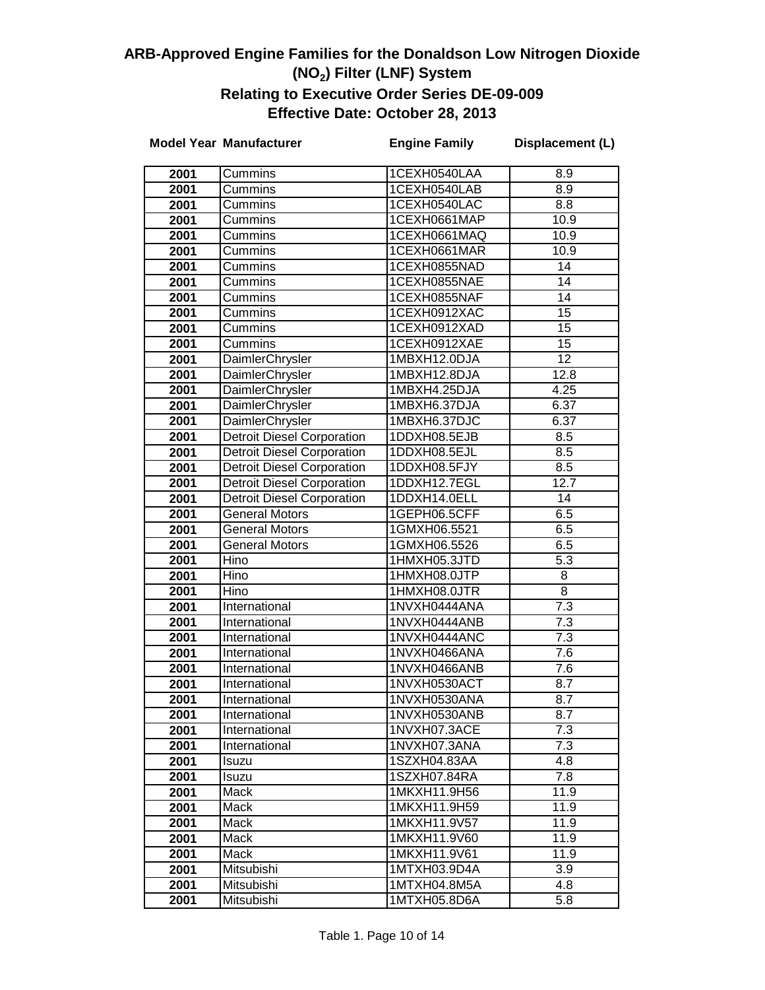|                   | <b>Model Year Manufacturer</b>    | <b>Engine Family</b>         | Displacement (L)        |
|-------------------|-----------------------------------|------------------------------|-------------------------|
| 2001              | Cummins                           | 1CEXH0540LAA                 | 8.9                     |
| 2001              | Cummins                           | 1CEXH0540LAB                 | 8.9                     |
| 2001              | Cummins                           | 1CEXH0540LAC                 | 8.8                     |
| 2001              | Cummins                           | 1CEXH0661MAP                 | 10.9                    |
| 2001              | Cummins                           | 1CEXH0661MAQ                 | 10.9                    |
| 2001              | Cummins                           | 1CEXH0661MAR                 | 10.9                    |
| 2001              | Cummins                           | 1CEXH0855NAD                 | 14                      |
| 2001              | Cummins                           | 1CEXH0855NAE                 | 14                      |
| 2001              | Cummins                           | 1CEXH0855NAF                 | 14                      |
| 2001              | Cummins                           | 1CEXH0912XAC                 | 15                      |
| 2001              | Cummins                           | 1CEXH0912XAD                 | 15                      |
| 2001              | Cummins                           | 1CEXH0912XAE                 | 15                      |
| 2001              | DaimlerChrysler                   | 1MBXH12.0DJA                 | $\overline{12}$         |
| 2001              | DaimlerChrysler                   | 1MBXH12.8DJA                 | 12.8                    |
| 2001              | DaimlerChrysler                   | 1MBXH4.25DJA                 | 4.25                    |
| 2001              | DaimlerChrysler                   | 1MBXH6.37DJA                 | 6.37                    |
| 2001              | DaimlerChrysler                   | 1MBXH6.37DJC                 | 6.37                    |
| 2001              | <b>Detroit Diesel Corporation</b> | 1DDXH08.5EJB                 | 8.5                     |
| 2001              | <b>Detroit Diesel Corporation</b> | 1DDXH08.5EJL                 | 8.5                     |
| 2001              | <b>Detroit Diesel Corporation</b> | 1DDXH08.5FJY                 | 8.5                     |
| 2001              | <b>Detroit Diesel Corporation</b> | 1DDXH12.7EGL                 | 12.7                    |
| 2001              | <b>Detroit Diesel Corporation</b> | 1DDXH14.0ELL                 | 14                      |
| 2001              | <b>General Motors</b>             | 1GEPH06.5CFF                 | 6.5                     |
| 2001              | General Motors                    | 1GMXH06.5521                 | 6.5                     |
| 2001              | <b>General Motors</b>             | 1GMXH06.5526                 | 6.5                     |
| 2001              | Hino                              | 1HMXH05.3JTD                 | $\overline{5.3}$        |
| 2001              | Hino                              | 1HMXH08.0JTP                 | 8                       |
| 2001              | Hino                              | 1HMXH08.0JTR                 | $\overline{8}$          |
| 2001              | International                     | 1NVXH0444ANA                 | $\overline{7.3}$        |
| 2001              | International                     | 1NVXH0444ANB                 | 7.3                     |
| $\overline{2001}$ | International                     | 1NVXH0444ANC                 | 7.3                     |
| 2001              | International                     | 1NVXH0466ANA                 | $\overline{7.6}$        |
| 2001              | International                     | 1NVXH0466ANB                 | 7.6                     |
| 2001              | International                     | 1NVXH0530ACT                 | 8.7                     |
| 2001              | International                     | 1NVXH0530ANA                 | 8.7                     |
| 2001              | International                     | 1NVXH0530ANB                 | 8.7                     |
| 2001              | International                     | 1NVXH07.3ACE                 | 7.3                     |
| 2001              | International                     | 1NVXH07.3ANA                 | 7.3                     |
| 2001              | Isuzu                             | 1SZXH04.83AA                 | 4.8                     |
| 2001              | Isuzu                             | 1SZXH07.84RA                 | 7.8                     |
| 2001              | Mack                              | 1MKXH11.9H56                 | 11.9                    |
| 2001              | Mack                              | 1MKXH11.9H59                 | 11.9                    |
| 2001              | Mack                              | 1MKXH11.9V57                 | 11.9                    |
| 2001              | Mack                              | 1MKXH11.9V60<br>1MKXH11.9V61 | 11.9                    |
| 2001              | Mack                              |                              | 11.9<br>3.9             |
| 2001<br>2001      | Mitsubishi                        | 1MTXH03.9D4A<br>1MTXH04.8M5A |                         |
| 2001              | Mitsubishi<br>Mitsubishi          | 1MTXH05.8D6A                 | 4.8<br>$\overline{5.8}$ |
|                   |                                   |                              |                         |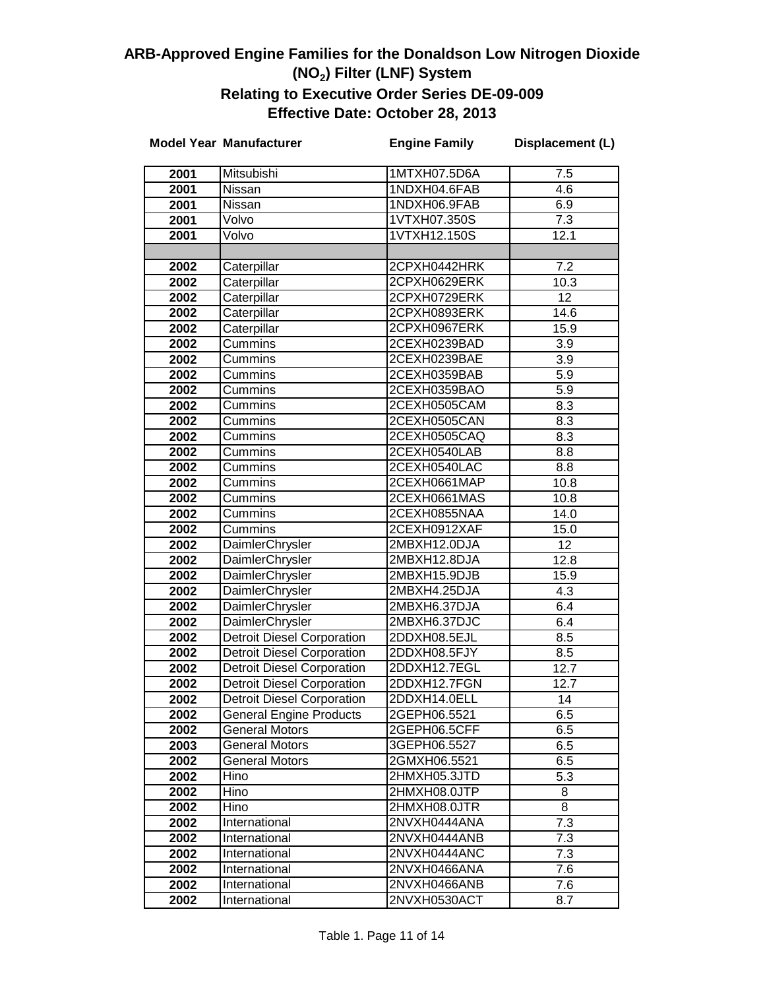|              | <b>Model Year Manufacturer</b>                                         | <b>Engine Family</b>         | Displacement (L) |
|--------------|------------------------------------------------------------------------|------------------------------|------------------|
| 2001         | Mitsubishi                                                             | 1MTXH07.5D6A                 | 7.5              |
| 2001         | Nissan                                                                 | 1NDXH04.6FAB                 | 4.6              |
| 2001         | Nissan                                                                 | 1NDXH06.9FAB                 | 6.9              |
| 2001         | Volvo                                                                  | 1VTXH07.350S                 | $\overline{7.3}$ |
| 2001         | Volvo                                                                  | 1VTXH12.150S                 | 12.1             |
|              |                                                                        |                              |                  |
| 2002         | Caterpillar                                                            | 2CPXH0442HRK                 | 7.2              |
| 2002         | Caterpillar                                                            | 2CPXH0629ERK                 | 10.3             |
| 2002         | Caterpillar                                                            | 2CPXH0729ERK                 | 12               |
| 2002         | Caterpillar                                                            | 2CPXH0893ERK                 | 14.6             |
| 2002         | Caterpillar                                                            | 2CPXH0967ERK                 | 15.9             |
| 2002         | Cummins                                                                | 2CEXH0239BAD                 | 3.9              |
| 2002         | Cummins                                                                | 2CEXH0239BAE                 | $\overline{3.9}$ |
| 2002         | Cummins                                                                | 2CEXH0359BAB                 | $\overline{5.9}$ |
| 2002         | Cummins                                                                | 2CEXH0359BAO                 | $\overline{5.9}$ |
| 2002         | Cummins                                                                | 2CEXH0505CAM                 | 8.3              |
| 2002         | Cummins                                                                | 2CEXH0505CAN                 | 8.3              |
| 2002         | Cummins                                                                | 2CEXH0505CAQ                 | 8.3              |
| 2002         | Cummins                                                                | 2CEXH0540LAB                 | 8.8              |
| 2002         | Cummins                                                                | 2CEXH0540LAC                 | 8.8              |
| 2002         | Cummins                                                                | 2CEXH0661MAP                 | 10.8             |
| 2002         | Cummins                                                                | 2CEXH0661MAS                 | 10.8             |
| 2002         | Cummins                                                                | 2CEXH0855NAA                 | 14.0             |
| 2002         | Cummins                                                                | 2CEXH0912XAF                 | 15.0             |
| 2002         | DaimlerChrysler                                                        | 2MBXH12.0DJA                 | 12               |
| 2002         | DaimlerChrysler                                                        | 2MBXH12.8DJA                 | 12.8             |
| 2002         | DaimlerChrysler                                                        | 2MBXH15.9DJB                 | 15.9             |
| 2002         | DaimlerChrysler                                                        | 2MBXH4.25DJA                 | 4.3              |
| 2002         | DaimlerChrysler                                                        | 2MBXH6.37DJA                 | 6.4              |
| 2002         | DaimlerChrysler                                                        | 2MBXH6.37DJC                 | 6.4              |
| 2002         | <b>Detroit Diesel Corporation</b>                                      | 2DDXH08.5EJL                 | 8.5              |
| 2002         | <b>Detroit Diesel Corporation</b>                                      | 2DDXH08.5FJY                 | 8.5              |
| 2002         | <b>Detroit Diesel Corporation</b>                                      | 2DDXH12.7EGL<br>2DDXH12.7FGN | 12.7             |
| 2002<br>2002 | <b>Detroit Diesel Corporation</b><br><b>Detroit Diesel Corporation</b> | 2DDXH14.0ELL                 | 12.7<br>14       |
| 2002         | <b>General Engine Products</b>                                         | 2GEPH06.5521                 | 6.5              |
| 2002         | <b>General Motors</b>                                                  | 2GEPH06.5CFF                 | 6.5              |
| 2003         | <b>General Motors</b>                                                  | 3GEPH06.5527                 | 6.5              |
| 2002         | <b>General Motors</b>                                                  | 2GMXH06.5521                 | 6.5              |
| 2002         | Hino                                                                   | 2HMXH05.3JTD                 | 5.3              |
| 2002         | Hino                                                                   | 2HMXH08.0JTP                 | 8                |
| 2002         | Hino                                                                   | 2HMXH08.0JTR                 | 8                |
| 2002         | International                                                          | 2NVXH0444ANA                 | 7.3              |
| 2002         | International                                                          | 2NVXH0444ANB                 | 7.3              |
| 2002         | International                                                          | 2NVXH0444ANC                 | 7.3              |
| 2002         | International                                                          | 2NVXH0466ANA                 | 7.6              |
| 2002         | International                                                          | 2NVXH0466ANB                 | 7.6              |
| 2002         | International                                                          | 2NVXH0530ACT                 | 8.7              |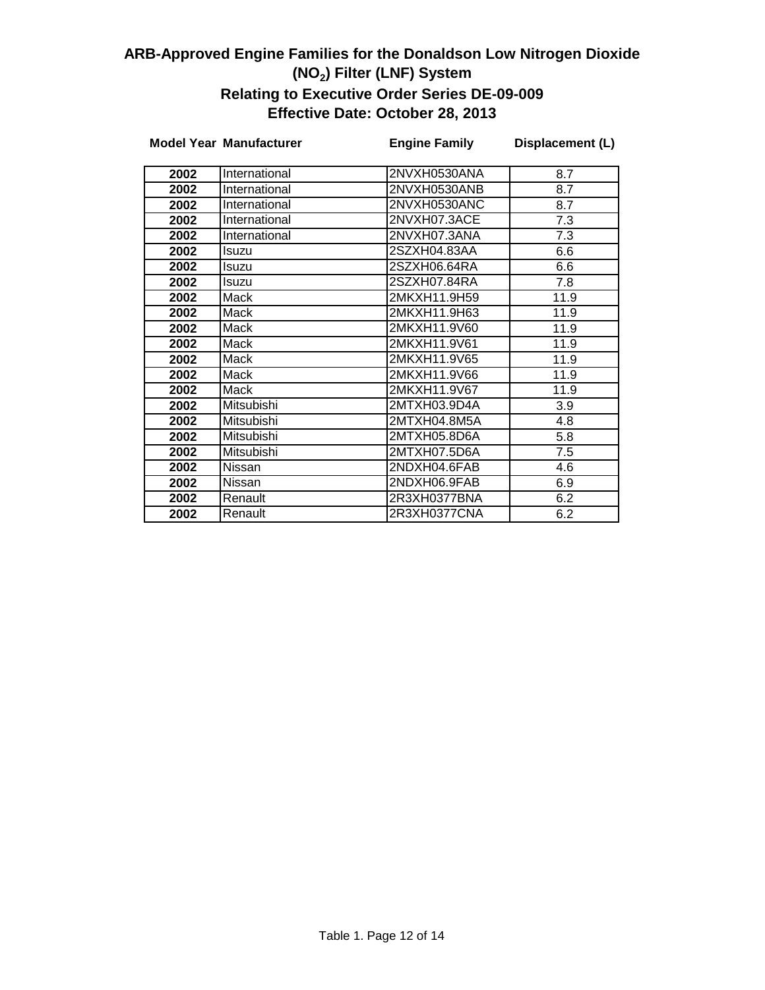|      | <b>Model Year Manufacturer</b> | <b>Engine Family</b> | Displacement (L) |
|------|--------------------------------|----------------------|------------------|
| 2002 | International                  | 2NVXH0530ANA         | 8.7              |
|      |                                |                      |                  |
| 2002 | International                  | 2NVXH0530ANB         | 8.7              |
| 2002 | International                  | 2NVXH0530ANC         | 8.7              |
| 2002 | International                  | 2NVXH07.3ACE         | 7.3              |
| 2002 | International                  | 2NVXH07.3ANA         | 7.3              |
| 2002 | Isuzu                          | 2SZXH04.83AA         | 6.6              |
| 2002 | Isuzu                          | 2SZXH06.64RA         | 6.6              |
| 2002 | Isuzu                          | 2SZXH07.84RA         | $\overline{7.8}$ |
| 2002 | Mack                           | 2MKXH11.9H59         | 11.9             |
| 2002 | <b>Mack</b>                    | 2MKXH11.9H63         | 11.9             |
| 2002 | <b>Mack</b>                    | 2MKXH11.9V60         | 11.9             |
| 2002 | <b>Mack</b>                    | 2MKXH11.9V61         | 11.9             |
| 2002 | Mack                           | 2MKXH11.9V65         | 11.9             |
| 2002 | <b>Mack</b>                    | 2MKXH11.9V66         | 11.9             |
| 2002 | Mack                           | 2MKXH11.9V67         | 11.9             |
| 2002 | Mitsubishi                     | 2MTXH03.9D4A         | 3.9              |
| 2002 | Mitsubishi                     | 2MTXH04.8M5A         | 4.8              |
| 2002 | Mitsubishi                     | 2MTXH05.8D6A         | 5.8              |
| 2002 | Mitsubishi                     | 2MTXH07.5D6A         | 7.5              |
| 2002 | Nissan                         | 2NDXH04.6FAB         | 4.6              |
| 2002 | Nissan                         | 2NDXH06.9FAB         | 6.9              |
| 2002 | Renault                        | 2R3XH0377BNA         | 6.2              |
| 2002 | Renault                        | 2R3XH0377CNA         | 6.2              |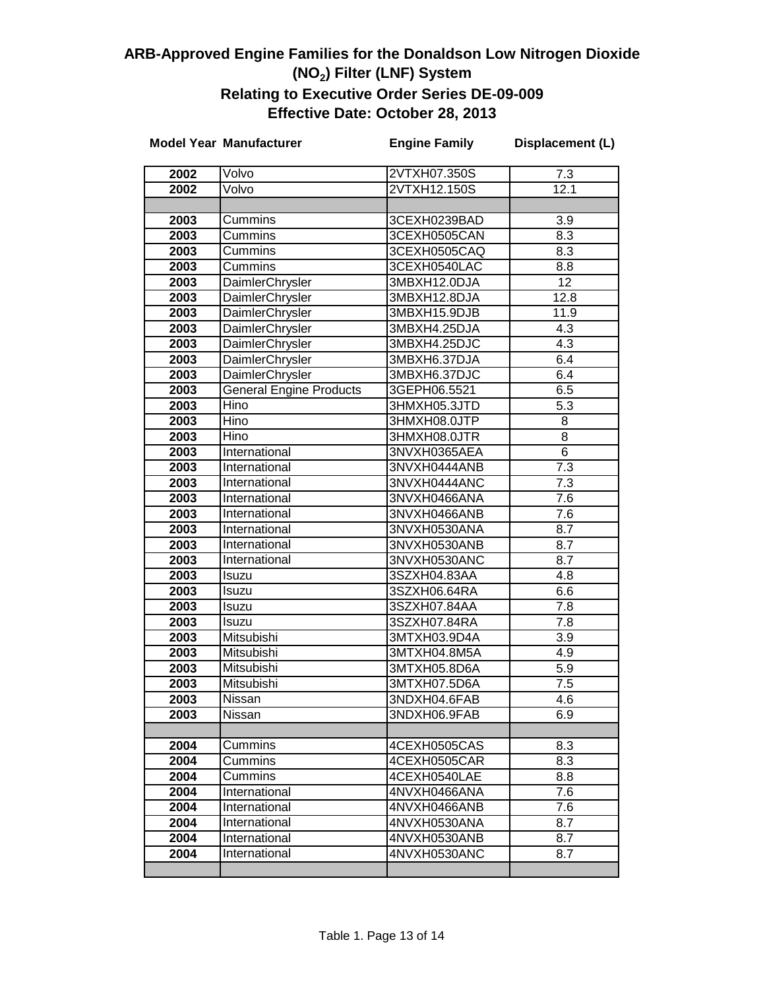|      | <b>Model Year Manufacturer</b> | <b>Engine Family</b> | Displacement (L) |
|------|--------------------------------|----------------------|------------------|
| 2002 | Volvo                          | 2VTXH07.350S         | 7.3              |
| 2002 | Volvo                          | 2VTXH12.150S         | 12.1             |
|      |                                |                      |                  |
| 2003 | Cummins                        | 3CEXH0239BAD         | 3.9              |
| 2003 | Cummins                        | 3CEXH0505CAN         | 8.3              |
| 2003 | Cummins                        | 3CEXH0505CAQ         | 8.3              |
| 2003 | Cummins                        | 3CEXH0540LAC         | 8.8              |
| 2003 | DaimlerChrysler                | 3MBXH12.0DJA         | 12               |
| 2003 | DaimlerChrysler                | 3MBXH12.8DJA         | 12.8             |
| 2003 | <b>DaimlerChrysler</b>         | 3MBXH15.9DJB         | 11.9             |
| 2003 | DaimlerChrysler                | 3MBXH4.25DJA         | $\overline{4.3}$ |
| 2003 | DaimlerChrysler                | 3MBXH4.25DJC         | $\overline{4.3}$ |
| 2003 | DaimlerChrysler                | 3MBXH6.37DJA         | 6.4              |
| 2003 | DaimlerChrysler                | 3MBXH6.37DJC         | 6.4              |
| 2003 | <b>General Engine Products</b> | 3GEPH06.5521         | 6.5              |
| 2003 | Hino                           | 3HMXH05.3JTD         | 5.3              |
| 2003 | Hino                           | 3HMXH08.0JTP         | 8                |
| 2003 | Hino                           | 3HMXH08.0JTR         | 8                |
| 2003 | International                  | 3NVXH0365AEA         | 6                |
| 2003 | International                  | 3NVXH0444ANB         | 7.3              |
| 2003 | International                  | 3NVXH0444ANC         | $\overline{7}.3$ |
| 2003 | International                  | 3NVXH0466ANA         | 7.6              |
| 2003 | International                  | 3NVXH0466ANB         | 7.6              |
| 2003 | International                  | 3NVXH0530ANA         | 8.7              |
| 2003 | International                  | 3NVXH0530ANB         | 8.7              |
| 2003 | International                  | 3NVXH0530ANC         | 8.7              |
| 2003 | Isuzu                          | 3SZXH04.83AA         | 4.8              |
| 2003 | Isuzu                          | 3SZXH06.64RA         | 6.6              |
| 2003 | Isuzu                          | 3SZXH07.84AA         | 7.8              |
| 2003 | Isuzu                          | 3SZXH07.84RA         | 7.8              |
| 2003 | Mitsubishi                     | 3MTXH03.9D4A         | 3.9              |
| 2003 | Mitsubishi                     | 3MTXH04.8M5A         | 4.9              |
| 2003 | Mitsubishi                     | 3MTXH05.8D6A         | 5.9              |
| 2003 | Mitsubishi                     | 3MTXH07.5D6A         | 7.5              |
| 2003 | Nissan                         | 3NDXH04.6FAB         | 4.6              |
| 2003 | Nissan                         | 3NDXH06.9FAB         | 6.9              |
|      |                                |                      |                  |
| 2004 | Cummins                        | 4CEXH0505CAS         | 8.3              |
| 2004 | Cummins                        | 4CEXH0505CAR         | 8.3              |
| 2004 | Cummins                        | 4CEXH0540LAE         | 8.8              |
| 2004 | International                  | 4NVXH0466ANA         | 7.6              |
| 2004 | International                  | 4NVXH0466ANB         | 7.6              |
| 2004 | International                  | 4NVXH0530ANA         | 8.7              |
| 2004 | International                  | 4NVXH0530ANB         | 8.7              |
| 2004 | International                  | 4NVXH0530ANC         | 8.7              |